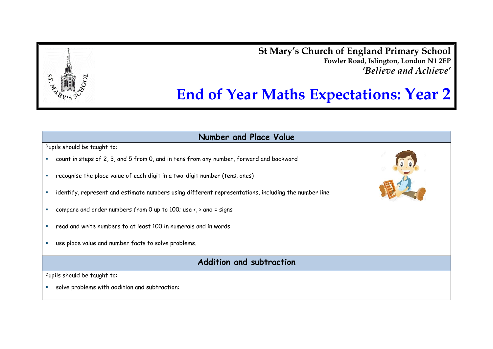**St Mary's Church of England Primary School Fowler Road, Islington, London N1 2EP** *'Believe and Achieve'*

# **End of Year Maths Expectations: Year 2**

**Number and Place Value**

Pupils should be taught to:

- count in steps of 2, 3, and 5 from 0, and in tens from any number, forward and backward
- recognise the place value of each digit in a two-digit number (tens, ones)
- identify, represent and estimate numbers using different representations, including the number line
- compare and order numbers from 0 up to 100; use  $\left\langle \cdot \right\rangle$  and = signs
- read and write numbers to at least 100 in numerals and in words
- use place value and number facts to solve problems.

**Addition and subtraction**

Pupils should be taught to:

solve problems with addition and subtraction:



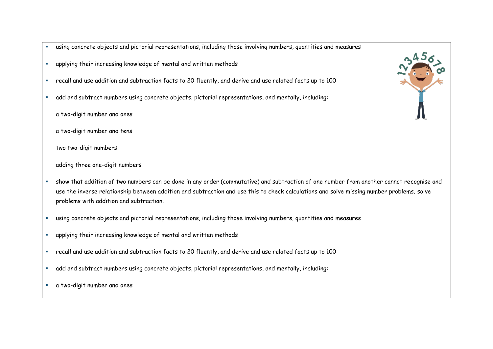- using concrete objects and pictorial representations, including those involving numbers, quantities and measures
- applying their increasing knowledge of mental and written methods
- recall and use addition and subtraction facts to 20 fluently, and derive and use related facts up to 100
- add and subtract numbers using concrete objects, pictorial representations, and mentally, including:
	- a two-digit number and ones
	- a two-digit number and tens
	- two two-digit numbers
	- adding three one-digit numbers
- show that addition of two numbers can be done in any order (commutative) and subtraction of one number from another cannot recognise and use the inverse relationship between addition and subtraction and use this to check calculations and solve missing number problems. solve problems with addition and subtraction:
- using concrete objects and pictorial representations, including those involving numbers, quantities and measures
- applying their increasing knowledge of mental and written methods
- recall and use addition and subtraction facts to 20 fluently, and derive and use related facts up to 100
- add and subtract numbers using concrete objects, pictorial representations, and mentally, including:
- a two-digit number and ones

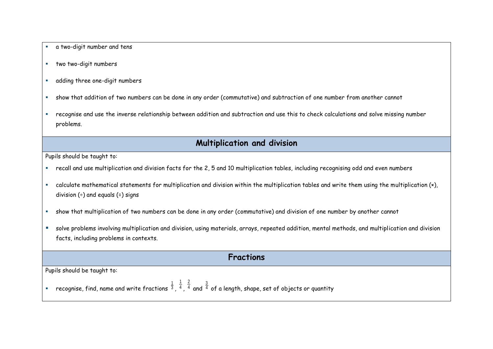- a two-digit number and tens
- two two-digit numbers
- adding three one-digit numbers
- show that addition of two numbers can be done in any order (commutative) and subtraction of one number from another cannot
- recognise and use the inverse relationship between addition and subtraction and use this to check calculations and solve missing number problems.

### **Multiplication and division**

Pupils should be taught to:

- recall and use multiplication and division facts for the 2, 5 and 10 multiplication tables, including recognising odd and even numbers
- calculate mathematical statements for multiplication and division within the multiplication tables and write them using the multiplication (×), division  $(+)$  and equals  $(+)$  signs
- show that multiplication of two numbers can be done in any order (commutative) and division of one number by another cannot
- solve problems involving multiplication and division, using materials, arrays, repeated addition, mental methods, and multiplication and division facts, including problems in contexts.

#### **Fractions**

Pupils should be taught to:

**•** recognise, find, name and write fractions  $\frac{1}{3}$  ,  $\frac{1}{4}$ 1 , 4 2 and  $^{\tfrac{3}{4}}$  of a length, shape, set of objects or quantity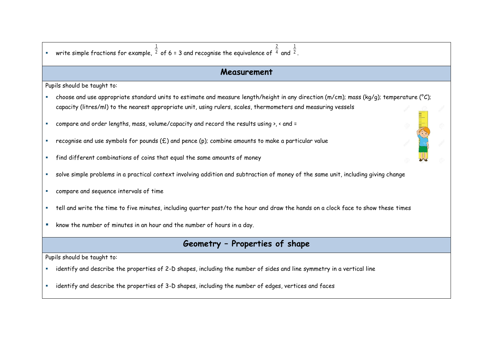| write simple fractions for example, $\frac{1}{2}$ of 6 = 3 and recognise the equivalence of $\frac{2}{4}$ and $\frac{1}{2}$ .           |  |
|-----------------------------------------------------------------------------------------------------------------------------------------|--|
| Measurement                                                                                                                             |  |
| Pupils should be taught to:                                                                                                             |  |
| choose and use appropriate standard units to estimate and measure length/height in any direction (m/cm); mass (kg/g); temperature (°C); |  |
| capacity (litres/ml) to the nearest appropriate unit, using rulers, scales, thermometers and measuring vessels                          |  |
| compare and order lengths, mass, volume/capacity and record the results using >, < and =<br>×                                           |  |
| recognise and use symbols for pounds $(E)$ and pence (p); combine amounts to make a particular value<br>ш                               |  |
| find different combinations of coins that equal the same amounts of money<br>×                                                          |  |
| solve simple problems in a practical context involving addition and subtraction of money of the same unit, including giving change<br>× |  |
| compare and sequence intervals of time<br>×                                                                                             |  |
| tell and write the time to five minutes, including quarter past/to the hour and draw the hands on a clock face to show these times<br>× |  |
| know the number of minutes in an hour and the number of hours in a day.<br>ш                                                            |  |
| Geometry - Properties of shape                                                                                                          |  |
| Pupils should be taught to:                                                                                                             |  |
| identify and describe the properties of 2-D shapes, including the number of sides and line symmetry in a vertical line                  |  |
| identify and describe the properties of 3-D shapes, including the number of edges, vertices and faces<br>×                              |  |